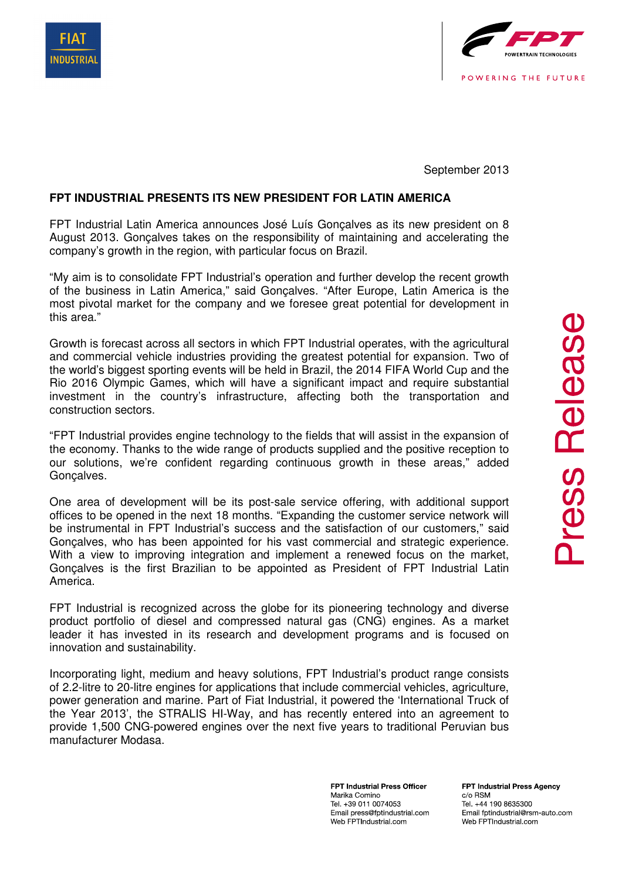



September 2013

## **FPT INDUSTRIAL PRESENTS ITS NEW PRESIDENT FOR LATIN AMERICA**

FPT Industrial Latin America announces José Luís Gonçalves as its new president on 8 August 2013. Gonçalves takes on the responsibility of maintaining and accelerating the company's growth in the region, with particular focus on Brazil.

"My aim is to consolidate FPT Industrial's operation and further develop the recent growth of the business in Latin America," said Gonçalves. "After Europe, Latin America is the most pivotal market for the company and we foresee great potential for development in this area."

Growth is forecast across all sectors in which FPT Industrial operates, with the agricultural and commercial vehicle industries providing the greatest potential for expansion. Two of the world's biggest sporting events will be held in Brazil, the 2014 FIFA World Cup and the Rio 2016 Olympic Games, which will have a significant impact and require substantial investment in the country's infrastructure, affecting both the transportation and construction sectors.

"FPT Industrial provides engine technology to the fields that will assist in the expansion of the economy. Thanks to the wide range of products supplied and the positive reception to our solutions, we're confident regarding continuous growth in these areas," added Gonçalves.

One area of development will be its post-sale service offering, with additional support offices to be opened in the next 18 months. "Expanding the customer service network will be instrumental in FPT Industrial's success and the satisfaction of our customers," said Gonçalves, who has been appointed for his vast commercial and strategic experience. With a view to improving integration and implement a renewed focus on the market, Gonçalves is the first Brazilian to be appointed as President of FPT Industrial Latin America.

FPT Industrial is recognized across the globe for its pioneering technology and diverse product portfolio of diesel and compressed natural gas (CNG) engines. As a market leader it has invested in its research and development programs and is focused on innovation and sustainability.

Incorporating light, medium and heavy solutions, FPT Industrial's product range consists of 2.2-litre to 20-litre engines for applications that include commercial vehicles, agriculture, power generation and marine. Part of Fiat Industrial, it powered the 'International Truck of the Year 2013', the STRALIS HI-Way, and has recently entered into an agreement to provide 1,500 CNG-powered engines over the next five years to traditional Peruvian bus manufacturer Modasa.

> **FPT Industrial Press Officer** Marika Comino Tel. +39 011 0074053 Email press@fptindustrial.com Web FPTIndustrial.com

**FPT Industrial Press Agency** c/o RSM Tel. +44 190 8635300 Email fptindustrial@rsm-auto.com Web FPTIndustrial.com